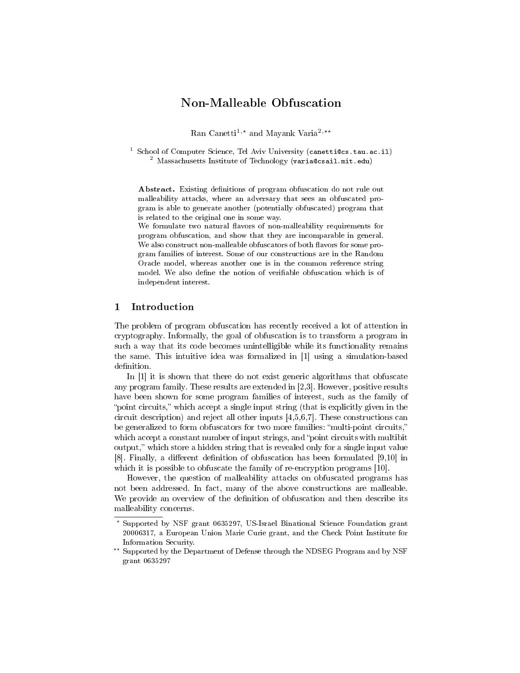# Non-Malleable Obfuscation

Ran Canetti<sup>1,\*</sup> and Mayank Varia<sup>2,\*\*</sup>

<sup>1</sup> School of Computer Science, Tel Aviv University (canetti@cs.tau.ac.il) <sup>2</sup> Massachusetts Institute of Technology (varia@csail.mit.edu)

Abstract. Existing definitions of program obfuscation do not rule out malleability attacks, where an adversary that sees an obfuscated program is able to generate another (potentially obfuscated) program that is related to the original one in some way.

We formulate two natural flavors of non-malleability requirements for program obfuscation, and show that they are incomparable in general. We also construct non-malleable obfuscators of both flavors for some program families of interest. Some of our constructions are in the Random Oracle model, whereas another one is in the common reference string model. We also define the notion of verifiable obfuscation which is of independent interest.

### 1 Introduction

The problem of program obfuscation has recently received a lot of attention in cryptography. Informally, the goal of obfuscation is to transform a program in such a way that its code becomes unintelligible while its functionality remains the same. This intuitive idea was formalized in [1] using a simulation-based definition.

In [1] it is shown that there do not exist generic algorithms that obfuscate any program family. These results are extended in [2,3]. However, positive results have been shown for some program families of interest, such as the family of "point circuits," which accept a single input string (that is explicitly given in the circuit description) and reject all other inputs [4,5,6,7]. These constructions can be generalized to form obfuscators for two more families: "multi-point circuits," which accept a constant number of input strings, and "point circuits with multibit output, which store a hidden string that is revealed only for a single input value [8]. Finally, a different definition of obfuscation has been formulated  $[9,10]$  in which it is possible to obfuscate the family of re-encryption programs [10].

However, the question of malleability attacks on obfuscated programs has not been addressed. In fact, many of the above constructions are malleable. We provide an overview of the definition of obfuscation and then describe its malleability concerns.

<sup>?</sup> Supported by NSF grant 0635297, US-Israel Binational Science Foundation grant 20006317, a European Union Marie Curie grant, and the Check Point Institute for Information Security.

<sup>\*\*</sup> Supported by the Department of Defense through the NDSEG Program and by NSF grant 0635297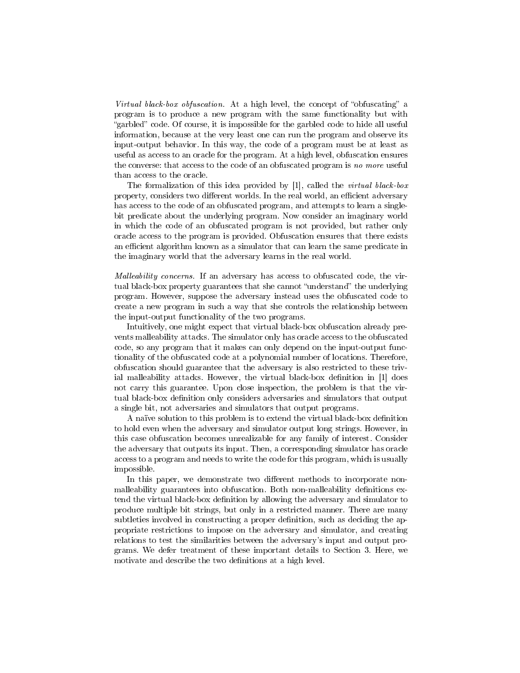Virtual black-box obfuscation. At a high level, the concept of "obfuscating" a program is to produce a new program with the same functionality but with "garbled" code. Of course, it is impossible for the garbled code to hide all useful information, because at the very least one can run the program and observe its input-output behavior. In this way, the code of a program must be at least as useful as access to an oracle for the program. At a high level, obfuscation ensures the converse: that access to the code of an obfuscated program is no more useful than access to the oracle.

The formalization of this idea provided by [1], called the *virtual black-box* property, considers two different worlds. In the real world, an efficient adversary has access to the code of an obfuscated program, and attempts to learn a singlebit predicate about the underlying program. Now consider an imaginary world in which the code of an obfuscated program is not provided, but rather only oracle access to the program is provided. Obfuscation ensures that there exists an efficient algorithm known as a simulator that can learn the same predicate in the imaginary world that the adversary learns in the real world.

Malleability concerns. If an adversary has access to obfuscated code, the virtual black-box property guarantees that she cannot "understand" the underlying program. However, suppose the adversary instead uses the obfuscated code to create a new program in such a way that she controls the relationship between the input-output functionality of the two programs.

Intuitively, one might expect that virtual black-box obfuscation already prevents malleability attacks. The simulator only has oracle access to the obfuscated code, so any program that it makes can only depend on the input-output functionality of the obfuscated code at a polynomial number of locations. Therefore, obfuscation should guarantee that the adversary is also restricted to these trivial malleability attacks. However, the virtual black-box definition in [1] does not carry this guarantee. Upon close inspection, the problem is that the virtual black-box definition only considers adversaries and simulators that output a single bit, not adversaries and simulators that output programs.

A naïve solution to this problem is to extend the virtual black-box definition to hold even when the adversary and simulator output long strings. However, in this case obfuscation becomes unrealizable for any family of interest. Consider the adversary that outputs its input. Then, a corresponding simulator has oracle access to a program and needs to write the code for this program, which is usually impossible.

In this paper, we demonstrate two different methods to incorporate nonmalleability guarantees into obfuscation. Both non-malleability definitions extend the virtual black-box definition by allowing the adversary and simulator to produce multiple bit strings, but only in a restricted manner. There are many subtleties involved in constructing a proper definition, such as deciding the appropriate restrictions to impose on the adversary and simulator, and creating relations to test the similarities between the adversary's input and output programs. We defer treatment of these important details to Section 3. Here, we motivate and describe the two definitions at a high level.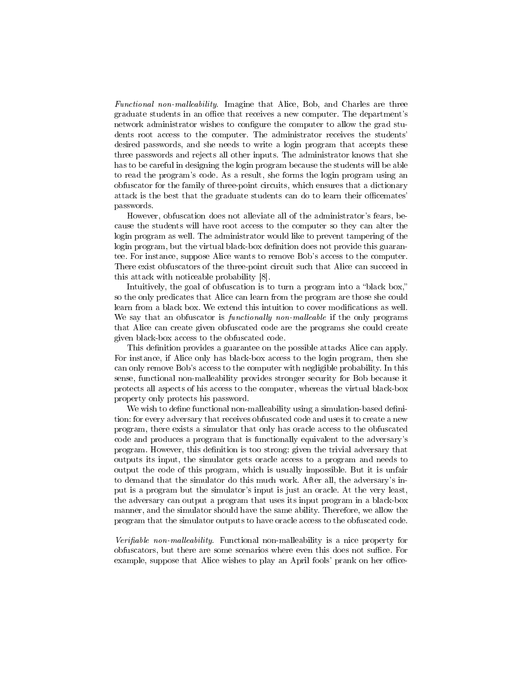Functional non-malleability. Imagine that Alice, Bob, and Charles are three graduate students in an office that receives a new computer. The department's network administrator wishes to configure the computer to allow the grad students root access to the computer. The administrator receives the students' desired passwords, and she needs to write a login program that accepts these three passwords and rejects all other inputs. The administrator knows that she has to be careful in designing the login program because the students will be able to read the program's code. As a result, she forms the login program using an obfuscator for the family of three-point circuits, which ensures that a dictionary attack is the best that the graduate students can do to learn their officemates' passwords.

However, obfuscation does not alleviate all of the administrator's fears, because the students will have root access to the computer so they can alter the login program as well. The administrator would like to prevent tampering of the login program, but the virtual black-box definition does not provide this guarantee. For instance, suppose Alice wants to remove Bob's access to the computer. There exist obfuscators of the three-point circuit such that Alice can succeed in this attack with noticeable probability [8].

Intuitively, the goal of obfuscation is to turn a program into a "black box," so the only predicates that Alice can learn from the program are those she could learn from a black box. We extend this intuition to cover modifications as well. We say that an obfuscator is *functionally non-malleable* if the only programs that Alice can create given obfuscated code are the programs she could create given black-box access to the obfuscated code.

This definition provides a guarantee on the possible attacks Alice can apply. For instance, if Alice only has black-box access to the login program, then she can only remove Bob's access to the computer with negligible probability. In this sense, functional non-malleability provides stronger security for Bob because it protects all aspects of his access to the computer, whereas the virtual black-box property only protects his password.

We wish to define functional non-malleability using a simulation-based definition: for every adversary that receives obfuscated code and uses it to create a new program, there exists a simulator that only has oracle access to the obfuscated code and produces a program that is functionally equivalent to the adversary's program. However, this definition is too strong: given the trivial adversary that outputs its input, the simulator gets oracle access to a program and needs to output the code of this program, which is usually impossible. But it is unfair to demand that the simulator do this much work. After all, the adversary's input is a program but the simulator's input is just an oracle. At the very least, the adversary can output a program that uses its input program in a black-box manner, and the simulator should have the same ability. Therefore, we allow the program that the simulator outputs to have oracle access to the obfuscated code.

Verifiable non-malleability. Functional non-malleability is a nice property for obfuscators, but there are some scenarios where even this does not suffice. For example, suppose that Alice wishes to play an April fools' prank on her office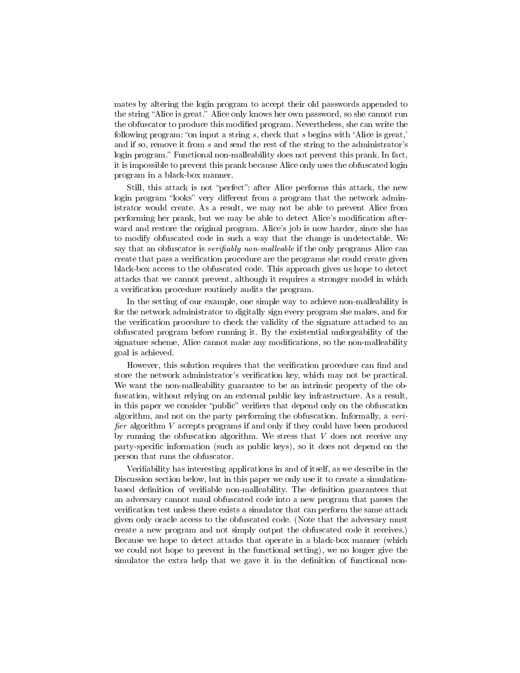mates by altering the login program to accept their old passwords appended to the string "Alice is great." Alice only knows her own password, so she cannot run the obfuscator to produce this modified program. Nevertheless, she can write the following program: "on input a string s, check that s begins with 'Alice is great,' and if so, remove it from  $s$  and send the rest of the string to the administrator's login program." Functional non-malleability does not prevent this prank. In fact, it is impossible to prevent this prank because Alice only uses the obfuscated login program in a black-box manner.

Still, this attack is not "perfect": after Alice performs this attack, the new login program "looks" very different from a program that the network administrator would create. As a result, we may not be able to prevent Alice from performing her prank, but we may be able to detect Alice's modification afterward and restore the original program. Alice's job is now harder, since she has to modify obfuscated code in such a way that the change is undetectable. We say that an obfuscator is *verifiably non-malleable* if the only programs Alice can create that pass a verification procedure are the programs she could create given black-box access to the obfuscated code. This approach gives us hope to detect attacks that we cannot prevent, although it requires a stronger model in which a verification procedure routinely audits the program.

In the setting of our example, one simple way to achieve non-malleability is for the network administrator to digitally sign every program she makes, and for the verification procedure to check the validity of the signature attached to an obfuscated program before running it. By the existential unforgeability of the signature scheme, Alice cannot make any modifications, so the non-malleability goal is achieved.

However, this solution requires that the verification procedure can find and store the network administrator's verification key, which may not be practical. We want the non-malleability guarantee to be an intrinsic property of the obfuscation, without relying on an external public key infrastructure. As a result, in this paper we consider "public" verifiers that depend only on the obfuscation algorithm, and not on the party performing the obfuscation. Informally, a veri fier algorithm  $V$  accepts programs if and only if they could have been produced by running the obfuscation algorithm. We stress that  $V$  does not receive any party-specific information (such as public keys), so it does not depend on the person that runs the obfuscator.

Veriability has interesting applications in and of itself, as we describe in the Discussion section below, but in this paper we only use it to create a simulationbased definition of verifiable non-malleability. The definition guarantees that an adversary cannot maul obfuscated code into a new program that passes the verification test unless there exists a simulator that can perform the same attack given only oracle access to the obfuscated code. (Note that the adversary must create a new program and not simply output the obfuscated code it receives.) Because we hope to detect attacks that operate in a black-box manner (which we could not hope to prevent in the functional setting), we no longer give the simulator the extra help that we gave it in the definition of functional non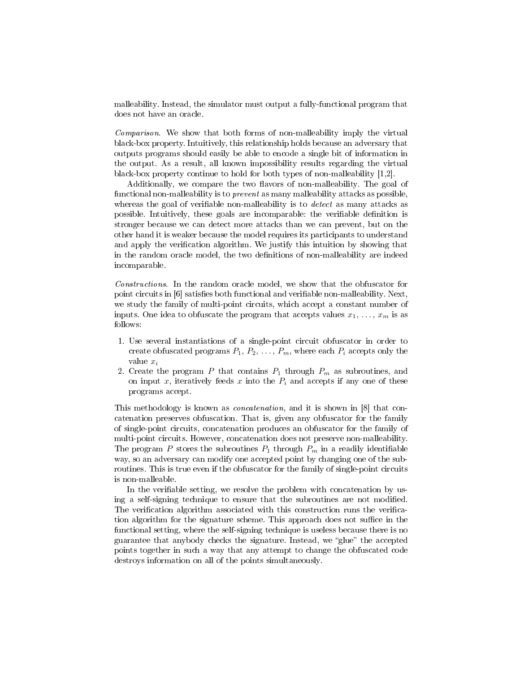malleability. Instead, the simulator must output a fully-functional program that does not have an oracle.

Comparison. We show that both forms of non-malleability imply the virtual black-box property. Intuitively, this relationship holds because an adversary that outputs programs should easily be able to encode a single bit of information in the output. As a result, all known impossibility results regarding the virtual black-box property continue to hold for both types of non-malleability [1,2].

Additionally, we compare the two flavors of non-malleability. The goal of functional non-malleability is to prevent as many malleability attacks as possible, whereas the goal of verifiable non-malleability is to *detect* as many attacks as possible. Intuitively, these goals are incomparable: the verifiable definition is stronger because we can detect more attacks than we can prevent, but on the other hand it is weaker because the model requires its participants to understand and apply the verification algorithm. We justify this intuition by showing that in the random oracle model, the two definitions of non-malleability are indeed incomparable.

Constructions. In the random oracle model, we show that the obfuscator for point circuits in  $[6]$  satisfies both functional and verifiable non-malleability. Next, we study the family of multi-point circuits, which accept a constant number of inputs. One idea to obfuscate the program that accepts values  $x_1, \ldots, x_m$  is as follows:

- 1. Use several instantiations of a single-point circuit obfuscator in order to create obfuscated programs  $P_1, P_2, \ldots, P_m$ , where each  $P_i$  accepts only the value  $x_i$
- 2. Create the program  $P$  that contains  $P_1$  through  $P_m$  as subroutines, and on input x, iteratively feeds x into the  $P_i$  and accepts if any one of these programs accept.

This methodology is known as concatenation, and it is shown in [8] that concatenation preserves obfuscation. That is, given any obfuscator for the family of single-point circuits, concatenation produces an obfuscator for the family of multi-point circuits. However, concatenation does not preserve non-malleability. The program P stores the subroutines  $P_1$  through  $P_m$  in a readily identifiable way, so an adversary can modify one accepted point by changing one of the subroutines. This is true even if the obfuscator for the family of single-point circuits is non-malleable.

In the verifiable setting, we resolve the problem with concatenation by using a self-signing technique to ensure that the subroutines are not modified. The verification algorithm associated with this construction runs the verification algorithm for the signature scheme. This approach does not suffice in the functional setting, where the self-signing technique is useless because there is no guarantee that any body checks the signature. Instead, we "glue" the accepted points together in such a way that any attempt to change the obfuscated code destroys information on all of the points simultaneously.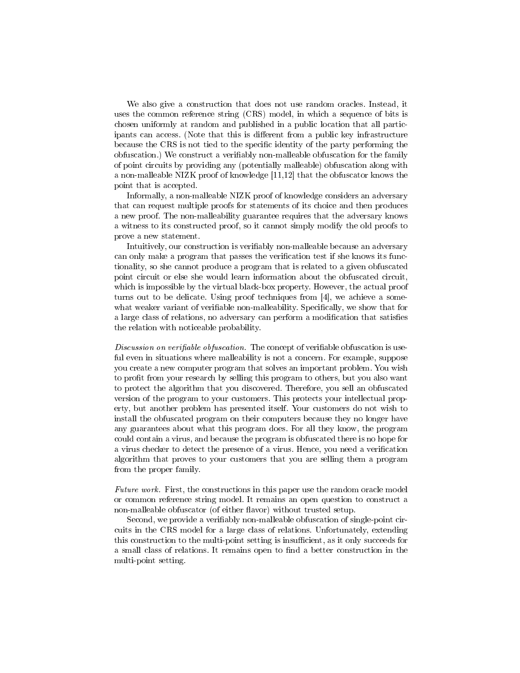We also give a construction that does not use random oracles. Instead, it uses the common reference string (CRS) model, in which a sequence of bits is chosen uniformly at random and published in a public location that all participants can access. (Note that this is different from a public key infrastructure because the CRS is not tied to the specific identity of the party performing the obfuscation.) We construct a veriably non-malleable obfuscation for the family of point circuits by providing any (potentially malleable) obfuscation along with a non-malleable NIZK proof of knowledge [11,12] that the obfuscator knows the point that is accepted.

Informally, a non-malleable NIZK proof of knowledge considers an adversary that can request multiple proofs for statements of its choice and then produces a new proof. The non-malleability guarantee requires that the adversary knows a witness to its constructed proof, so it cannot simply modify the old proofs to prove a new statement.

Intuitively, our construction is veriably non-malleable because an adversary can only make a program that passes the verification test if she knows its functionality, so she cannot produce a program that is related to a given obfuscated point circuit or else she would learn information about the obfuscated circuit, which is impossible by the virtual black-box property. However, the actual proof turns out to be delicate. Using proof techniques from [4], we achieve a somewhat weaker variant of verifiable non-malleability. Specifically, we show that for a large class of relations, no adversary can perform a modification that satisfies the relation with noticeable probability.

Discussion on verifiable obfuscation. The concept of verifiable obfuscation is useful even in situations where malleability is not a concern. For example, suppose you create a new computer program that solves an important problem. You wish to profit from your research by selling this program to others, but you also want to protect the algorithm that you discovered. Therefore, you sell an obfuscated version of the program to your customers. This protects your intellectual property, but another problem has presented itself. Your customers do not wish to install the obfuscated program on their computers because they no longer have any guarantees about what this program does. For all they know, the program could contain a virus, and because the program is obfuscated there is no hope for a virus checker to detect the presence of a virus. Hence, you need a verification algorithm that proves to your customers that you are selling them a program from the proper family.

Future work. First, the constructions in this paper use the random oracle model or common reference string model. It remains an open question to construct a non-malleable obfuscator (of either flavor) without trusted setup.

Second, we provide a verifiably non-malleable obfuscation of single-point circuits in the CRS model for a large class of relations. Unfortunately, extending this construction to the multi-point setting is insufficient, as it only succeeds for a small class of relations. It remains open to find a better construction in the multi-point setting.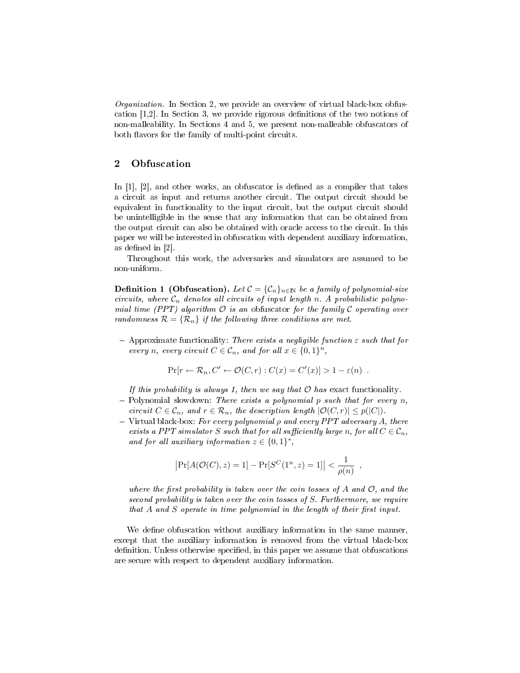Organization. In Section 2, we provide an overview of virtual black-box obfuscation [1,2]. In Section 3, we provide rigorous denitions of the two notions of non-malleability. In Sections 4 and 5, we present non-malleable obfuscators of both flavors for the family of multi-point circuits.

## 2 Obfuscation

In  $[1]$ ,  $[2]$ , and other works, an obfuscator is defined as a compiler that takes a circuit as input and returns another circuit. The output circuit should be equivalent in functionality to the input circuit, but the output circuit should be unintelligible in the sense that any information that can be obtained from the output circuit can also be obtained with oracle access to the circuit. In this paper we will be interested in obfuscation with dependent auxiliary information, as defined in  $[2]$ .

Throughout this work, the adversaries and simulators are assumed to be non-uniform.

**Definition 1 (Obfuscation).** Let  $C = \{C_n\}_{n\in\mathbb{N}}$  be a family of polynomial-size circuits, where  $C_n$  denotes all circuits of input length n. A probabilistic polynomial time (PPT) algorithm  $\mathcal O$  is an obfuscator for the family  $\mathcal C$  operating over randomness  $\mathcal{R} = {\mathcal{R}_n}$  if the following three conditions are met.

Approximate functionality: There exists a negligible function  $\varepsilon$  such that for every n, every circuit  $C \in \mathcal{C}_n$ , and for all  $x \in \{0,1\}^n$ ,

$$
\Pr[r \leftarrow \mathcal{R}_n, C' \leftarrow \mathcal{O}(C, r) : C(x) = C'(x)] > 1 - \varepsilon(n) .
$$

If this probability is always 1, then we say that  $\mathcal O$  has exact functionality.

- $-$  Polynomial slowdown: There exists a polynomial p such that for every  $n$ , circuit  $C \in \mathcal{C}_n$ , and  $r \in \mathcal{R}_n$ , the description length  $|\mathcal{O}(C,r)| \leq p(|C|)$ .
- Virtual black-box: For every polynomial  $\rho$  and every PPT adversary A, there exists a PPT simulator S such that for all sufficiently large n, for all  $C \in \mathcal{C}_n$ , and for all auxiliary information  $z \in \{0,1\}^*,$

$$
|\Pr[A(\mathcal{O}(C), z) = 1] - \Pr[S^C(1^n, z) = 1]| < \frac{1}{\rho(n)},
$$

where the first probability is taken over the coin tosses of A and  $\mathcal{O}$ , and the second probability is taken over the coin tosses of S. Furthermore, we require that  $A$  and  $S$  operate in time polynomial in the length of their first input.

We define obfuscation without auxiliary information in the same manner, except that the auxiliary information is removed from the virtual black-box definition. Unless otherwise specified, in this paper we assume that obfuscations are secure with respect to dependent auxiliary information.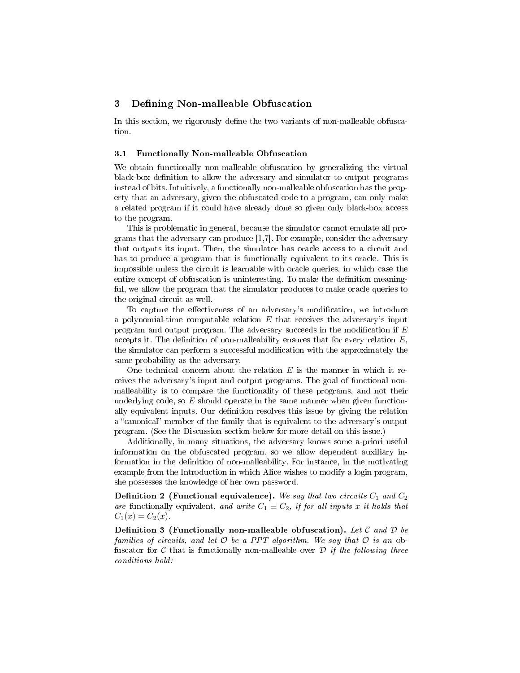### 3 Defining Non-malleable Obfuscation

In this section, we rigorously define the two variants of non-malleable obfuscation.

### 3.1 Functionally Non-malleable Obfuscation

We obtain functionally non-malleable obfuscation by generalizing the virtual black-box definition to allow the adversary and simulator to output programs instead of bits. Intuitively, a functionally non-malleable obfuscation has the property that an adversary, given the obfuscated code to a program, can only make a related program if it could have already done so given only black-box access to the program.

This is problematic in general, because the simulator cannot emulate all programs that the adversary can produce [1,7]. For example, consider the adversary that outputs its input. Then, the simulator has oracle access to a circuit and has to produce a program that is functionally equivalent to its oracle. This is impossible unless the circuit is learnable with oracle queries, in which case the entire concept of obfuscation is uninteresting. To make the definition meaningful, we allow the program that the simulator produces to make oracle queries to the original circuit as well.

To capture the effectiveness of an adversary's modification, we introduce a polynomial-time computable relation  $E$  that receives the adversary's input program and output program. The adversary succeeds in the modification if  $E$ accepts it. The definition of non-malleability ensures that for every relation  $E$ , the simulator can perform a successful modification with the approximately the same probability as the adversary.

One technical concern about the relation  $E$  is the manner in which it receives the adversary's input and output programs. The goal of functional nonmalleability is to compare the functionality of these programs, and not their underlying code, so  $E$  should operate in the same manner when given functionally equivalent inputs. Our definition resolves this issue by giving the relation a "canonical" member of the family that is equivalent to the adversary's output program. (See the Discussion section below for more detail on this issue.)

Additionally, in many situations, the adversary knows some a-priori useful information on the obfuscated program, so we allow dependent auxiliary information in the definition of non-malleability. For instance, in the motivating example from the Introduction in which Alice wishes to modify a login program, she possesses the knowledge of her own password.

**Definition 2** (Functional equivalence). We say that two circuits  $C_1$  and  $C_2$ are functionally equivalent, and write  $C_1 \equiv C_2$ , if for all inputs x it holds that  $C_1(x) = C_2(x)$ .

**Definition 3** (Functionally non-malleable obfuscation). Let C and D be families of circuits, and let  $\mathcal O$  be a PPT algorithm. We say that  $\mathcal O$  is an obfuscator for C that is functionally non-malleable over  $D$  if the following three conditions hold: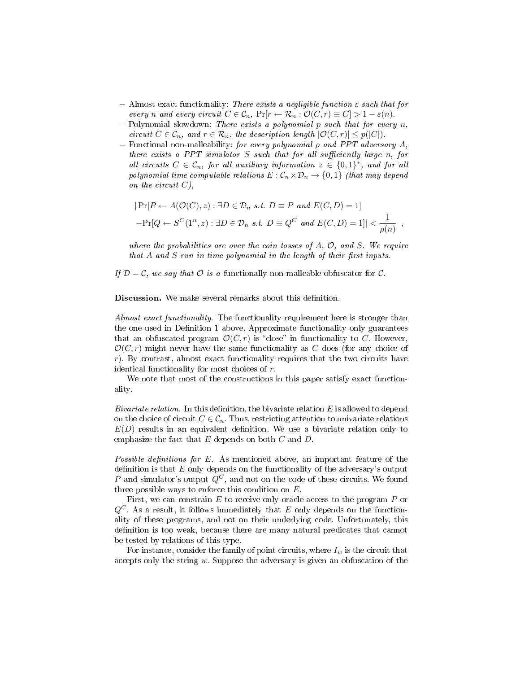- Almost exact functionality: There exists a negligible function  $\varepsilon$  such that for every n and every circuit  $C \in \mathcal{C}_n$ ,  $Pr[r \leftarrow \mathcal{R}_n : \mathcal{O}(C, r) \equiv C] > 1 - \varepsilon(n)$ .
- $-$  Polynomial slowdown: There exists a polynomial p such that for every  $n$ , circuit  $C \in \mathcal{C}_n$ , and  $r \in \mathcal{R}_n$ , the description length  $|\mathcal{O}(C,r)| \leq p(|C|)$ .
- Functional non-malleability: for every polynomial  $\rho$  and PPT adversary A, there exists a PPT simulator  $S$  such that for all sufficiently large n, for all circuits  $C \in \mathcal{C}_n$ , for all auxiliary information  $z \in \{0,1\}^*$ , and for all polynomial time computable relations  $E : C_n \times D_n \to \{0,1\}$  (that may depend on the circuit  $C$ ),

$$
|\Pr[P \leftarrow A(\mathcal{O}(C), z) : \exists D \in \mathcal{D}_n \text{ s.t. } D \equiv P \text{ and } E(C, D) = 1]
$$
  
-
$$
|\Pr[Q \leftarrow S^C(1^n, z) : \exists D \in \mathcal{D}_n \text{ s.t. } D \equiv Q^C \text{ and } E(C, D) = 1]| < \frac{1}{\rho(n)},
$$

where the probabilities are over the coin tosses of  $A, \mathcal{O}$ , and  $S$ . We require that A and S run in time polynomial in the length of their first inputs.

If  $\mathcal{D} = \mathcal{C}$ , we say that  $\mathcal{O}$  is a functionally non-malleable obfuscator for  $\mathcal{C}$ .

Discussion. We make several remarks about this definition.

Almost exact functionality. The functionality requirement here is stronger than the one used in Definition 1 above. Approximate functionality only guarantees that an obfuscated program  $\mathcal{O}(C, r)$  is "close" in functionality to C. However,  $\mathcal{O}(C,r)$  might never have the same functionality as C does (for any choice of r). By contrast, almost exact functionality requires that the two circuits have identical functionality for most choices of r.

We note that most of the constructions in this paper satisfy exact functionality.

*Bivariate relation.* In this definition, the bivariate relation  $E$  is allowed to depend on the choice of circuit  $C \in \mathcal{C}_n$ . Thus, restricting attention to univariate relations  $E(D)$  results in an equivalent definition. We use a bivariate relation only to emphasize the fact that  $E$  depends on both  $C$  and  $D$ .

Possible definitions for  $E$ . As mentioned above, an important feature of the definition is that  $E$  only depends on the functionality of the adversary's output P and simulator's output  $Q^C$ , and not on the code of these circuits. We found three possible ways to enforce this condition on  $E$ .

First, we can constrain  $E$  to receive only oracle access to the program  $P$  or  $Q^C$ . As a result, it follows immediately that E only depends on the functionality of these programs, and not on their underlying code. Unfortunately, this definition is too weak, because there are many natural predicates that cannot be tested by relations of this type.

For instance, consider the family of point circuits, where  $I_w$  is the circuit that accepts only the string  $w$ . Suppose the adversary is given an obfuscation of the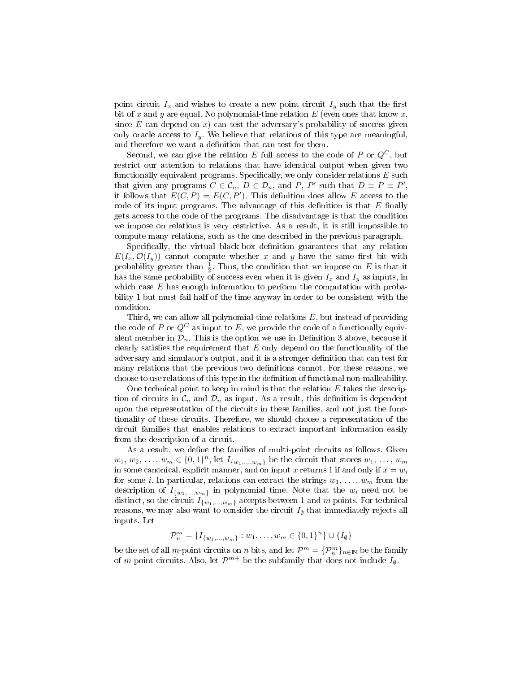point circuit  $I_x$  and wishes to create a new point circuit  $I_y$  such that the first bit of x and y are equal. No polynomial-time relation  $E$  (even ones that know  $x$ , since  $E$  can depend on  $x$ ) can test the adversary's probability of success given only oracle access to  $I_y$ . We believe that relations of this type are meaningful, and therefore we want a definition that can test for them.

Second, we can give the relation E full access to the code of P or  $Q^C$ , but restrict our attention to relations that have identical output when given two functionally equivalent programs. Specifically, we only consider relations  $E$  such that given any programs  $C \in \mathcal{C}_n$ ,  $D \in \mathcal{D}_n$ , and P, P' such that  $D \equiv P \equiv P'$ , it follows that  $E(C, P) = E(C, P')$ . This definition does allow E access to the code of its input programs. The advantage of this definition is that  $E$  finally gets access to the code of the programs. The disadvantage is that the condition we impose on relations is very restrictive. As a result, it is still impossible to compute many relations, such as the one described in the previous paragraph.

Specifically, the virtual black-box definition guarantees that any relation  $E(I_x, \mathcal{O}(I_y))$  cannot compute whether x and y have the same first bit with probability greater than  $\frac{1}{2}$ . Thus, the condition that we impose on E is that it has the same probability of success even when it is given  $I_x$  and  $I_y$  as inputs, in which case  $E$  has enough information to perform the computation with probability 1 but must fail half of the time anyway in order to be consistent with the condition.

Third, we can allow all polynomial-time relations  $E$ , but instead of providing the code of P or  $Q^C$  as input to E, we provide the code of a functionally equivalent member in  $\mathcal{D}_n$ . This is the option we use in Definition 3 above, because it clearly satisfies the requirement that  $E$  only depend on the functionality of the adversary and simulator's output, and it is a stronger definition that can test for many relations that the previous two definitions cannot. For these reasons, we choose to use relations of this type in the definition of functional non-malleability.

One technical point to keep in mind is that the relation  $E$  takes the description of circuits in  $\mathcal{C}_n$  and  $\mathcal{D}_n$  as input. As a result, this definition is dependent upon the representation of the circuits in these families, and not just the functionality of these circuits. Therefore, we should choose a representation of the circuit families that enables relations to extract important information easily from the description of a circuit.

As a result, we define the families of multi-point circuits as follows. Given  $w_1, w_2, \ldots, w_m \in \{0, 1\}^n$ , let  $I_{\{w_1, \ldots, w_m\}}$  be the circuit that stores  $w_1, \ldots, w_m$ in some canonical, explicit manner, and on input x returns 1 if and only if  $x = w_i$ for some *i*. In particular, relations can extract the strings  $w_1, \ldots, w_m$  from the description of  $I_{\{w_1,...,w_m\}}$  in polynomial time. Note that the  $w_i$  need not be distinct, so the circuit  $I_{\{w_1,\ldots,w_m\}}$  accepts between 1 and m points. For technical reasons, we may also want to consider the circuit  $I_{\emptyset}$  that immediately rejects all inputs. Let

$$
\mathcal{P}_n^m = \{I_{\{w_1,\dots,w_m\}} : w_1,\dots,w_m \in \{0,1\}^n\} \cup \{I_{\emptyset}\}\
$$

be the set of all *m*-point circuits on *n* bits, and let  $\mathcal{P}^m = {\{\mathcal{P}_n^m\}}_{n \in \mathbb{N}}$  be the family of m-point circuits. Also, let  $\mathcal{P}^{m+}$  be the subfamily that does not include  $I_{\emptyset}$ .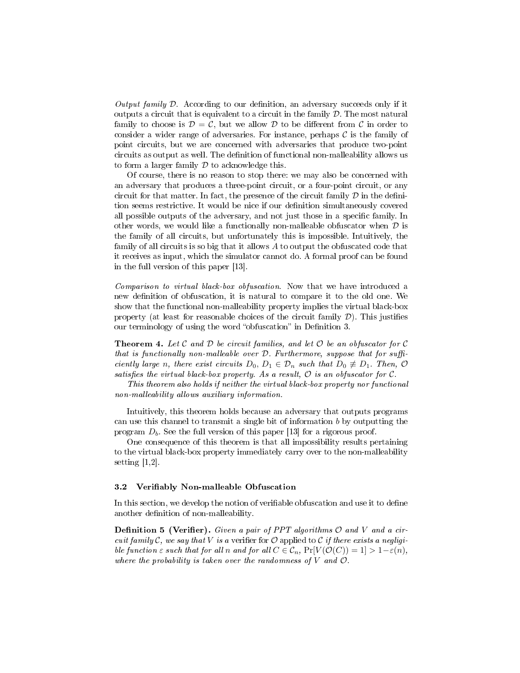Output family  $D$ . According to our definition, an adversary succeeds only if it outputs a circuit that is equivalent to a circuit in the family  $D$ . The most natural family to choose is  $\mathcal{D} = \mathcal{C}$ , but we allow  $\mathcal D$  to be different from  $\mathcal C$  in order to consider a wider range of adversaries. For instance, perhaps  $\mathcal C$  is the family of point circuits, but we are concerned with adversaries that produce two-point circuits as output as well. The denition of functional non-malleability allows us to form a larger family  $\mathcal D$  to acknowledge this.

Of course, there is no reason to stop there: we may also be concerned with an adversary that produces a three-point circuit, or a four-point circuit, or any circuit for that matter. In fact, the presence of the circuit family  $D$  in the definition seems restrictive. It would be nice if our definition simultaneously covered all possible outputs of the adversary, and not just those in a specific family. In other words, we would like a functionally non-malleable obfuscator when  $\mathcal D$  is the family of all circuits, but unfortunately this is impossible. Intuitively, the family of all circuits is so big that it allows A to output the obfuscated code that it receives as input, which the simulator cannot do. A formal proof can be found in the full version of this paper [13].

Comparison to virtual black-box obfuscation. Now that we have introduced a new definition of obfuscation, it is natural to compare it to the old one. We show that the functional non-malleability property implies the virtual black-box property (at least for reasonable choices of the circuit family  $\mathcal{D}$ ). This justifies our terminology of using the word "obfuscation" in Definition 3.

**Theorem 4.** Let C and D be circuit families, and let O be an obfuscator for C that is functionally non-malleable over  $D$ . Furthermore, suppose that for sufficiently large n, there exist circuits  $D_0, D_1 \in \mathcal{D}_n$  such that  $D_0 \not\equiv D_1$ . Then,  $\mathcal{O}$ satisfies the virtual black-box property. As a result,  $\mathcal O$  is an obfuscator for  $\mathcal C$ .

This theorem also holds if neither the virtual black-box property nor functional non-malleability allows auxiliary information.

Intuitively, this theorem holds because an adversary that outputs programs can use this channel to transmit a single bit of information  $b$  by outputting the program  $D_b$ . See the full version of this paper [13] for a rigorous proof.

One consequence of this theorem is that all impossibility results pertaining to the virtual black-box property immediately carry over to the non-malleability setting [1,2].

#### 3.2 Verifiably Non-malleable Obfuscation

In this section, we develop the notion of verifiable obfuscation and use it to define another definition of non-malleability.

**Definition 5 (Verifier).** Given a pair of PPT algorithms  $O$  and  $V$  and a circuit family C, we say that V is a verifier for O applied to C if there exists a negligible function  $\varepsilon$  such that for all n and for all  $C \in \mathcal{C}_n$ ,  $Pr[V(\mathcal{O}(C)) = 1] > 1 - \varepsilon(n)$ , where the probability is taken over the randomness of  $V$  and  $\mathcal{O}$ .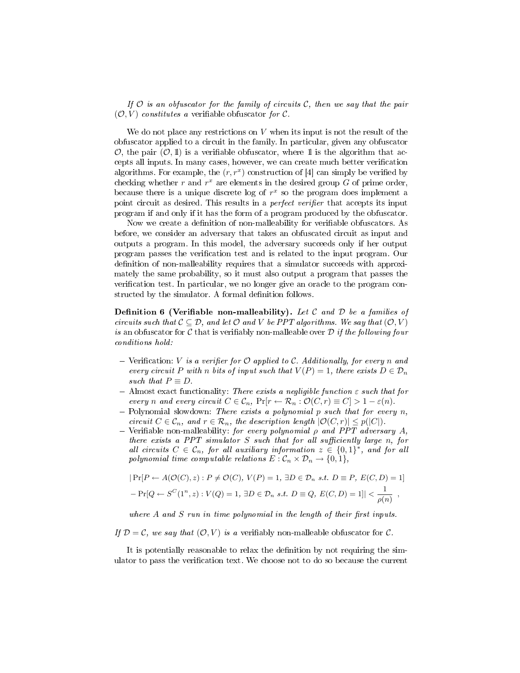If  $\mathcal O$  is an obfuscator for the family of circuits  $\mathcal C$ , then we say that the pair  $(\mathcal{O}, V)$  constitutes a verifiable obfuscator for C.

We do not place any restrictions on  $V$  when its input is not the result of the obfuscator applied to a circuit in the family. In particular, given any obfuscator  $\mathcal{O}$ , the pair  $(\mathcal{O}, 1)$  is a verifiable obfuscator, where 1 is the algorithm that accepts all inputs. In many cases, however, we can create much better verification algorithms. For example, the  $(r, r^x)$  construction of [4] can simply be verified by checking whether  $r$  and  $r^x$  are elements in the desired group  $G$  of prime order, because there is a unique discrete log of  $r^x$  so the program does implement a point circuit as desired. This results in a *perfect verifier* that accepts its input program if and only if it has the form of a program produced by the obfuscator.

Now we create a definition of non-malleability for verifiable obfuscators. As before, we consider an adversary that takes an obfuscated circuit as input and outputs a program. In this model, the adversary succeeds only if her output program passes the verification test and is related to the input program. Our definition of non-malleability requires that a simulator succeeds with approximately the same probability, so it must also output a program that passes the verification test. In particular, we no longer give an oracle to the program constructed by the simulator. A formal definition follows.

Definition 6 (Verifiable non-malleability). Let  $C$  and  $D$  be a families of circuits such that  $C \subseteq \mathcal{D}$ , and let  $\mathcal{O}$  and V be PPT algorithms. We say that  $(\mathcal{O}, V)$ is an obfuscator for C that is verifiably non-malleable over  $D$  if the following four conditions hold:

- Verification: V is a verifier for  $\mathcal O$  applied to C. Additionally, for every n and every circuit P with n bits of input such that  $V(P) = 1$ , there exists  $D \in \mathcal{D}_n$ such that  $P \equiv D$ .
- Almost exact functionality: There exists a negligible function  $\varepsilon$  such that for every n and every circuit  $C \in \mathcal{C}_n$ ,  $\Pr[r \leftarrow \mathcal{R}_n : \mathcal{O}(C, r) \equiv C] > 1 - \varepsilon(n)$ .
- $-$  Polynomial slowdown: There exists a polynomial p such that for every n, circuit  $C \in \mathcal{C}_n$ , and  $r \in \mathcal{R}_n$ , the description length  $|\mathcal{O}(C,r)| \leq p(|C|)$ .
- Verifiable non-malleability: for every polynomial  $\rho$  and PPT adversary A, there exists a PPT simulator  $S$  such that for all sufficiently large n, for all circuits  $C \in \mathcal{C}_n$ , for all auxiliary information  $z \in \{0,1\}^*$ , and for all polynomial time computable relations  $E: \mathcal{C}_n \times \mathcal{D}_n \to \{0, 1\},\$

$$
|\Pr[P \leftarrow A(\mathcal{O}(C), z) : P \neq \mathcal{O}(C), V(P) = 1, \exists D \in \mathcal{D}_n \ s.t. \ D \equiv P, E(C, D) = 1]
$$

$$
-\Pr[Q \leftarrow S^C(1^n, z) : V(Q) = 1, \exists D \in \mathcal{D}_n \ s.t. \ D \equiv Q, E(C, D) = 1]| < \frac{1}{\rho(n)},
$$

where  $A$  and  $S$  run in time polynomial in the length of their first inputs.

If  $\mathcal{D} = \mathcal{C}$ , we say that  $(\mathcal{O}, V)$  is a verifiably non-malleable obfuscator for  $\mathcal{C}$ .

It is potentially reasonable to relax the definition by not requiring the simulator to pass the verification text. We choose not to do so because the current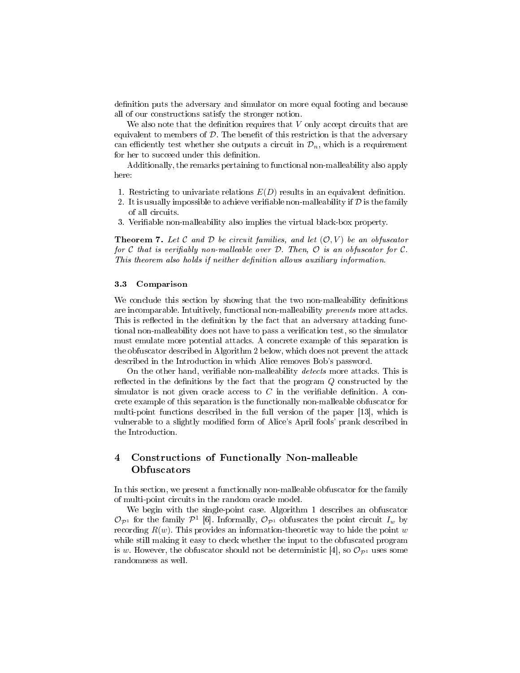definition puts the adversary and simulator on more equal footing and because all of our constructions satisfy the stronger notion.

We also note that the definition requires that  $V$  only accept circuits that are equivalent to members of  $D$ . The benefit of this restriction is that the adversary can efficiently test whether she outputs a circuit in  $\mathcal{D}_n$ , which is a requirement for her to succeed under this definition.

Additionally, the remarks pertaining to functional non-malleability also apply here:

- 1. Restricting to univariate relations  $E(D)$  results in an equivalent definition.
- 2. It is usually impossible to achieve verifiable non-malleability if  $\mathcal D$  is the family of all circuits.
- 3. Verifiable non-malleability also implies the virtual black-box property.

**Theorem 7.** Let C and D be circuit families, and let  $(\mathcal{O}, V)$  be an obfuscator for C that is verifiably non-malleable over  $D$ . Then,  $\mathcal O$  is an obfuscator for C. This theorem also holds if neither definition allows auxiliary information.

#### 3.3 Comparison

We conclude this section by showing that the two non-malleability definitions are incomparable. Intuitively, functional non-malleability prevents more attacks. This is reflected in the definition by the fact that an adversary attacking functional non-malleability does not have to pass a verification test, so the simulator must emulate more potential attacks. A concrete example of this separation is the obfuscator described in Algorithm 2 below, which does not prevent the attack described in the Introduction in which Alice removes Bob's password.

On the other hand, verifiable non-malleability *detects* more attacks. This is reflected in the definitions by the fact that the program  $Q$  constructed by the simulator is not given oracle access to  $C$  in the verifiable definition. A concrete example of this separation is the functionally non-malleable obfuscator for multi-point functions described in the full version of the paper [13], which is vulnerable to a slightly modied form of Alice's April fools' prank described in the Introduction.

## 4 Constructions of Functionally Non-malleable **Obfuscators**

In this section, we present a functionally non-malleable obfuscator for the family of multi-point circuits in the random oracle model.

We begin with the single-point case. Algorithm 1 describes an obfuscator  $\mathcal{O}_{\mathcal{P}^1}$  for the family  $\mathcal{P}^1$  [6]. Informally,  $\mathcal{O}_{\mathcal{P}^1}$  obfuscates the point circuit  $I_w$  by recording  $R(w)$ . This provides an information-theoretic way to hide the point w while still making it easy to check whether the input to the obfuscated program is w. However, the obfuscator should not be deterministic [4], so  $\mathcal{O}_{\mathcal{P}^1}$  uses some randomness as well.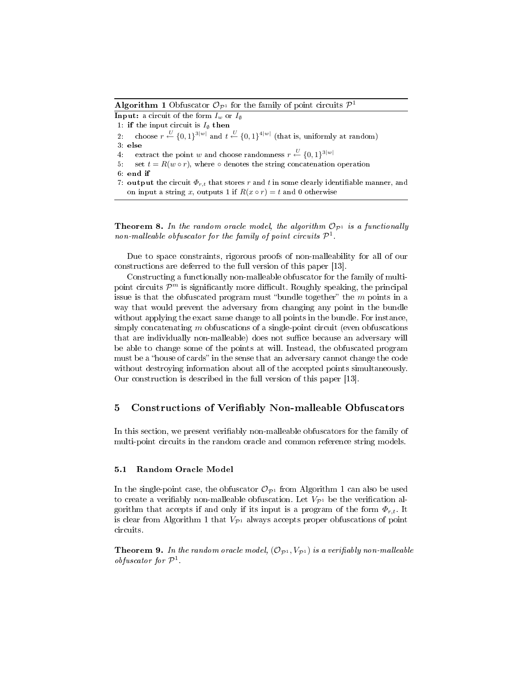## Algorithm 1 Obfuscator  $\mathcal{O}_{\mathcal{P}^1}$  for the family of point circuits  $\mathcal{P}^1$

**Input:** a circuit of the form  $I_w$  or  $I_\emptyset$ 1: if the input circuit is  $I_{\emptyset}$  then

2: choose  $r \stackrel{U}{\leftarrow} \{0,1\}^{3|w|}$  and  $t \stackrel{U}{\leftarrow} \{0,1\}^{4|w|}$  (that is, uniformly at random)

3: else

4: extract the point w and choose randomness  $r \stackrel{U}{\leftarrow} \{0,1\}^{3|w|}$ 

5: set  $t = R(w \circ r)$ , where  $\circ$  denotes the string concatenation operation

- 6: end if
- 7: output the circuit  $\Phi_{r,t}$  that stores r and t in some clearly identifiable manner, and on input a string x, outputs 1 if  $R(x \circ r) = t$  and 0 otherwise

**Theorem 8.** In the random oracle model, the algorithm  $\mathcal{O}_{\mathcal{P}^1}$  is a functionally non-malleable obfuscator for the family of point circuits  $\mathcal{P}^1$ .

Due to space constraints, rigorous proofs of non-malleability for all of our constructions are deferred to the full version of this paper [13].

Constructing a functionally non-malleable obfuscator for the family of multipoint circuits  $\mathcal{P}^m$  is significantly more difficult. Roughly speaking, the principal issue is that the obfuscated program must "bundle together" the  $m$  points in a way that would prevent the adversary from changing any point in the bundle without applying the exact same change to all points in the bundle. For instance, simply concatenating  $m$  obfuscations of a single-point circuit (even obfuscations that are individually non-malleable) does not suffice because an adversary will be able to change some of the points at will. Instead, the obfuscated program must be a "house of cards" in the sense that an adversary cannot change the code without destroying information about all of the accepted points simultaneously. Our construction is described in the full version of this paper [13].

## 5 Constructions of Verifiably Non-malleable Obfuscators

In this section, we present verifiably non-malleable obfuscators for the family of multi-point circuits in the random oracle and common reference string models.

### 5.1 Random Oracle Model

In the single-point case, the obfuscator  $\mathcal{O}_{\mathcal{P}^1}$  from Algorithm 1 can also be used to create a verifiably non-malleable obfuscation. Let  $V_{\mathcal{P}^1}$  be the verification algorithm that accepts if and only if its input is a program of the form  $\Phi_{r,t}$ . It is clear from Algorithm 1 that  $V_{\mathcal{P}^1}$  always accepts proper obfuscations of point circuits.

**Theorem 9.** In the random oracle model,  $(\mathcal{O}_{\mathcal{P}^1}, V_{\mathcal{P}^1})$  is a verifiably non-malleable  $\textit{obfuscator}$  for  $\mathcal{P}^1$ .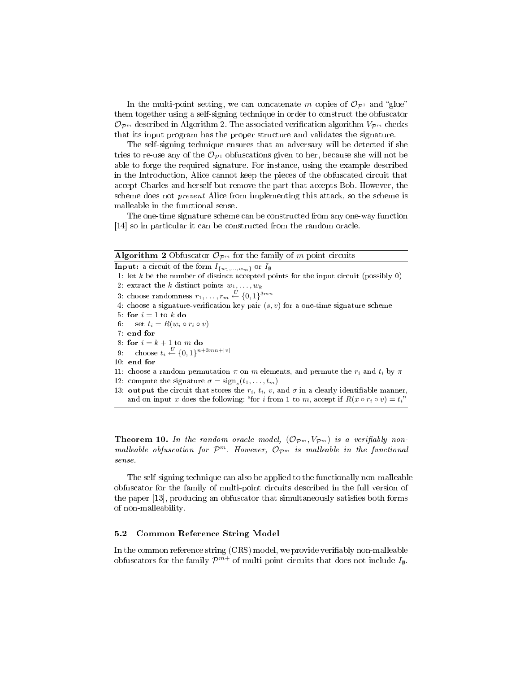In the multi-point setting, we can concatenate m copies of  $\mathcal{O}_{\mathcal{P}^1}$  and "glue" them together using a self-signing technique in order to construct the obfuscator  $\mathcal{O}_{\mathcal{P}^m}$  described in Algorithm 2. The associated verification algorithm  $V_{\mathcal{P}^m}$  checks that its input program has the proper structure and validates the signature.

The self-signing technique ensures that an adversary will be detected if she tries to re-use any of the  $\mathcal{O}_{\mathcal{P}^1}$  obfuscations given to her, because she will not be able to forge the required signature. For instance, using the example described in the Introduction, Alice cannot keep the pieces of the obfuscated circuit that accept Charles and herself but remove the part that accepts Bob. However, the scheme does not *prevent* Alice from implementing this attack, so the scheme is malleable in the functional sense.

The one-time signature scheme can be constructed from any one-way function [14] so in particular it can be constructed from the random oracle.

**Algorithm 2** Obfuscator  $\mathcal{O}_{\mathcal{P}^m}$  for the family of *m*-point circuits

**Input:** a circuit of the form  $I_{\{w_1,\ldots,w_m\}}$  or  $I_{\emptyset}$ 

1: let  $k$  be the number of distinct accepted points for the input circuit (possibly  $0$ ) 2: extract the k distinct points  $w_1, \ldots, w_k$ 

- 3: choose randomness  $r_1,\ldots,r_m \stackrel{U}{\leftarrow} \{0,1\}^{3mn}$
- 4: choose a signature-verification key pair  $(s, v)$  for a one-time signature scheme
- 5: for  $i = 1$  to  $k$  do
- 6: set  $t_i = R(w_i \circ r_i \circ v)$
- 7: end for
- 8: for  $i = k + 1$  to m do
- 9: choose  $t_i \stackrel{U}{\leftarrow} \{0,1\}^{n+3mn+|v|}$
- 10: end for
- 11: choose a random permutation  $\pi$  on m elements, and permute the  $r_i$  and  $t_i$  by  $\pi$
- 12: compute the signature  $\sigma = \text{sign}_s(t_1, \ldots, t_m)$
- 13: output the circuit that stores the  $r_i$ ,  $t_i$ ,  $v_i$ , and  $\sigma$  in a clearly identifiable manner. and on input x does the following: "for i from 1 to m, accept if  $R(x \circ r_i \circ v) = t_i$ "

**Theorem 10.** In the random oracle model,  $(\mathcal{O}_{\mathcal{P}^m}, V_{\mathcal{P}^m})$  is a verifiably nonmalleable obfuscation for  $\mathcal{P}^m$ . However,  $\mathcal{O}_{\mathcal{P}^m}$  is malleable in the functional sense.

The self-signing technique can also be applied to the functionally non-malleable obfuscator for the family of multi-point circuits described in the full version of the paper  $[13]$ , producing an obfuscator that simultaneously satisfies both forms of non-malleability.

#### 5.2 Common Reference String Model

In the common reference string (CRS) model, we provide verifiably non-malleable obfuscators for the family  $\mathcal{P}^{m+}$  of multi-point circuits that does not include  $I_{\emptyset}$ .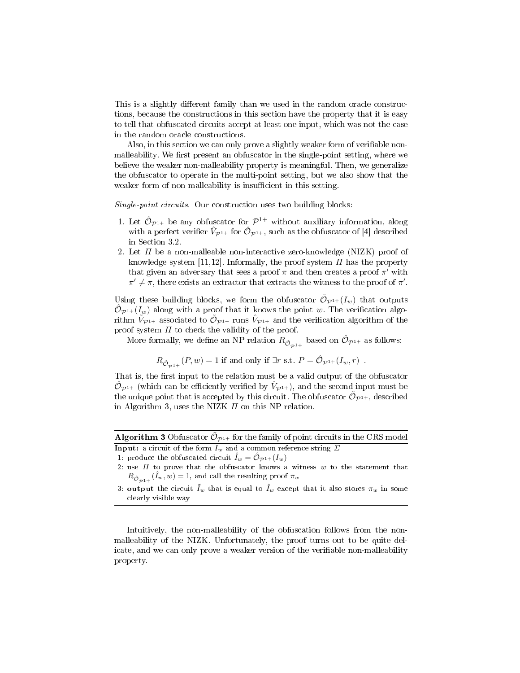This is a slightly different family than we used in the random oracle constructions, because the constructions in this section have the property that it is easy to tell that obfuscated circuits accept at least one input, which was not the case in the random oracle constructions.

Also, in this section we can only prove a slightly weaker form of verifiable nonmalleability. We first present an obfuscator in the single-point setting, where we believe the weaker non-malleability property is meaningful. Then, we generalize the obfuscator to operate in the multi-point setting, but we also show that the weaker form of non-malleability is insufficient in this setting.

Single-point circuits. Our construction uses two building blocks:

- 1. Let  $\hat{\mathcal{O}}_{\mathcal{P}^{1+}}$  be any obfuscator for  $\mathcal{P}^{1+}$  without auxiliary information, along with a perfect verifier  $\hat{V}_{\mathcal{P}^{1+}}$  for  $\hat{\mathcal{O}}_{\mathcal{P}^{1+}}$ , such as the obfuscator of [4] described in Section 3.2.
- 2. Let  $\Pi$  be a non-malleable non-interactive zero-knowledge (NIZK) proof of knowledge system [11,12]. Informally, the proof system  $\Pi$  has the property that given an adversary that sees a proof  $\pi$  and then creates a proof  $\pi'$  with  $\pi' \neq \pi$ , there exists an extractor that extracts the witness to the proof of  $\pi'$ .

Using these building blocks, we form the obfuscator  $\tilde{\mathcal{O}}_{\mathcal{P}^{1+}}(I_w)$  that outputs  $\hat{\mathcal{O}}_{\mathcal{P}^{1+}}(I_w)$  along with a proof that it knows the point w. The verification algorithm  $\widetilde V_{\mathcal{P}^{1+}}$  associated to  $\tilde{\mathcal{O}}_{\mathcal{P}^{1+}}$  runs  $\hat V_{\mathcal{P}^{1+}}$  and the verification algorithm of the proof system  $\Pi$  to check the validity of the proof.

More formally, we define an NP relation  $R_{\hat{\mathcal{O}}_{\mathcal{P}^{1+}}}$  based on  $\hat{\mathcal{O}}_{\mathcal{P}^{1+}}$  as follows:

$$
R_{\hat{O}_{\mathcal{P}^{1+}}}(P,w) = 1
$$
 if and only if  $\exists r$  s.t.  $P = \hat{O}_{\mathcal{P}^{1+}}(I_w, r)$ .

That is, the first input to the relation must be a valid output of the obfuscator  $\hat{\mathcal{O}}_{\mathcal{P}^{1+}}$  (which can be efficiently verified by  $\hat{V}_{\mathcal{P}^{1+}}$ ), and the second input must be the unique point that is accepted by this circuit. The obfuscator  $\tilde{\mathcal{O}}_{\mathcal{P}^{1+}},$  described in Algorithm 3, uses the NIZK  $\Pi$  on this NP relation.

Algorithm 3 Obfuscator  $\tilde{\mathcal{O}}_{\mathcal{P}^{1+}}$  for the family of point circuits in the CRS model **Input:** a circuit of the form  $I_w$  and a common reference string  $\Sigma$ 

1: produce the obfuscated circuit  $\hat{I}_w = \hat{\mathcal{O}}_{\mathcal{P}^{1+}}(I_w)$ 

2: use  $\Pi$  to prove that the obfuscator knows a witness  $w$  to the statement that  $R_{\hat{O}_{\mathcal{P}^{1+}}}(\hat{I}_w, w) = 1$ , and call the resulting proof  $\pi_w$ 

Intuitively, the non-malleability of the obfuscation follows from the nonmalleability of the NIZK. Unfortunately, the proof turns out to be quite delicate, and we can only prove a weaker version of the verifiable non-malleability property.

<sup>3:</sup> output the circuit  $\tilde{I}_w$  that is equal to  $\hat{I}_w$  except that it also stores  $\pi_w$  in some clearly visible way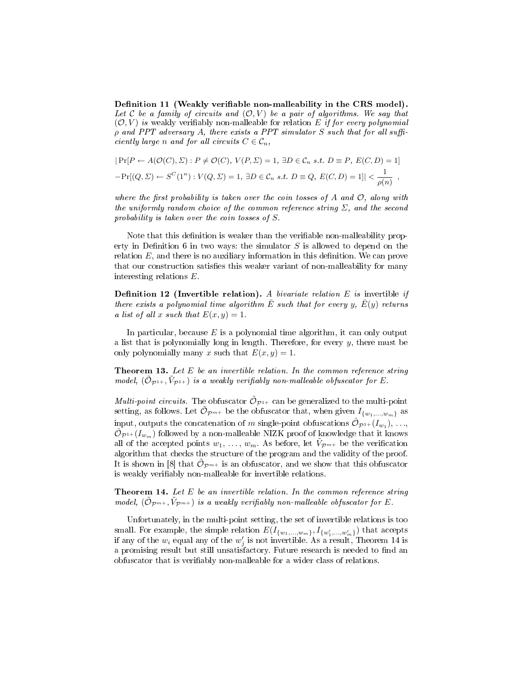Definition 11 (Weakly verifiable non-malleability in the CRS model). Let C be a family of circuits and  $(\mathcal{O}, V)$  be a pair of algorithms. We say that  $(\mathcal{O}, V)$  is weakly verifiably non-malleable for relation E if for every polynomial  $\rho$  and PPT adversary A, there exists a PPT simulator S such that for all sufficiently large n and for all circuits  $C \in \mathcal{C}_n$ ,

$$
|\Pr[P \leftarrow A(\mathcal{O}(C), \Sigma) : P \neq \mathcal{O}(C), V(P, \Sigma) = 1, \exists D \in C_n \text{ s.t. } D \equiv P, E(C, D) = 1]
$$

$$
-\Pr[(Q, \Sigma) \leftarrow S^C(1^n) : V(Q, \Sigma) = 1, \exists D \in C_n \text{ s.t. } D \equiv Q, E(C, D) = 1]| < \frac{1}{\rho(n)},
$$

where the first probability is taken over the coin tosses of A and  $\mathcal{O}$ , along with the uniformly random choice of the common reference string  $\Sigma$ , and the second probability is taken over the coin tosses of S.

Note that this definition is weaker than the verifiable non-malleability property in Definition 6 in two ways: the simulator  $S$  is allowed to depend on the relation  $E$ , and there is no auxiliary information in this definition. We can prove that our construction satisfies this weaker variant of non-malleability for many interesting relations E.

Definition 12 (Invertible relation). A bivariate relation  $E$  is invertible if there exists a polynomial time algorithm  $\overline{E}$  such that for every y,  $\overline{E}(y)$  returns a list of all x such that  $E(x, y) = 1$ .

In particular, because  $E$  is a polynomial time algorithm, it can only output a list that is polynomially long in length. Therefore, for every  $y$ , there must be only polynomially many x such that  $E(x, y) = 1$ .

**Theorem 13.** Let  $E$  be an invertible relation. In the common reference string model,  $(\tilde{\mathcal{O}}_{\mathcal{P}^{1+}}, \tilde{V}_{\mathcal{P}^{1+}})$  is a weakly verifiably non-malleable obfuscator for E.

*Multi-point circuits*. The obfuscator  $\tilde{\mathcal{O}}_{\mathcal{P}^{1+}}$  can be generalized to the multi-point setting, as follows. Let  $\tilde{\mathcal{O}}_{\mathcal{P}^{m+}}$  be the obfuscator that, when given  $I_{\{w_1,...,w_m\}}$  as input, outputs the concatenation of  $m$  single-point obfuscations  $\hat{\mathcal{O}}_{\mathcal{P}^{1+}}(I_{w_1}),\, ... ,$  $\hat{\mathcal{O}}_{\mathcal{P}^{1+}}(I_{w_m})$  followed by a non-malleable NIZK proof of knowledge that it knows all of the accepted points  $w_1, \ldots, w_m$ . As before, let  $\tilde{V}_{\mathcal{P}^{m+}}$  be the verification algorithm that checks the structure of the program and the validity of the proof. It is shown in [8] that  $\tilde{\mathcal{O}}_{\mathcal{P}^{m+}}$  is an obfuscator, and we show that this obfuscator is weakly verifiably non-malleable for invertible relations.

**Theorem 14.** Let  $E$  be an invertible relation. In the common reference string model,  $(\tilde{\mathcal{O}}_{\mathcal{P}^{m+}}, \tilde{V}_{\mathcal{P}^{m+}})$  is a weakly verifiably non-malleable obfuscator for E.

Unfortunately, in the multi-point setting, the set of invertible relations is too small. For example, the simple relation  $E(I_{\{w_1,...,w_m\}}, I_{\{w_1',...,w_m'\}})$  that accepts if any of the  $w_i$  equal any of the  $w'_j$  is not invertible. As a result, Theorem 14 is a promising result but still unsatisfactory. Future research is needed to find an obfuscator that is verifiably non-malleable for a wider class of relations.